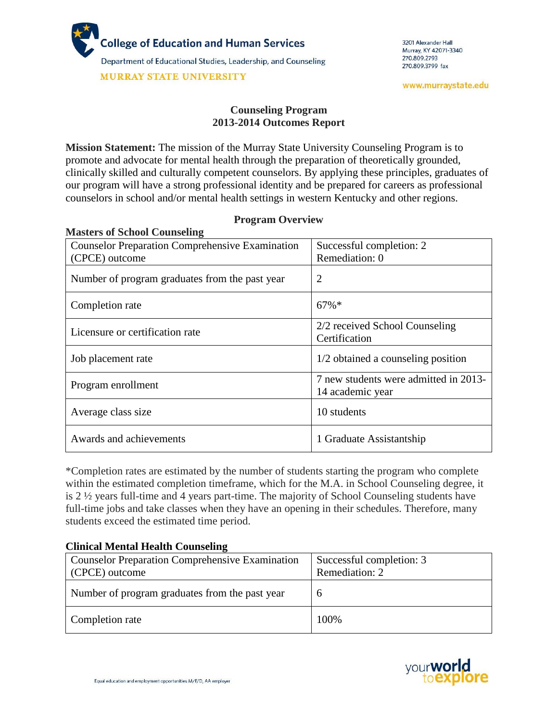

# **Counseling Program 2013-2014 Outcomes Report**

**Mission Statement:** The mission of the Murray State University Counseling Program is to promote and advocate for mental health through the preparation of theoretically grounded, clinically skilled and culturally competent counselors. By applying these principles, graduates of our program will have a strong professional identity and be prepared for careers as professional counselors in school and/or mental health settings in western Kentucky and other regions.

| <b>Masters of School Counseling</b>                    |                                                           |  |
|--------------------------------------------------------|-----------------------------------------------------------|--|
| <b>Counselor Preparation Comprehensive Examination</b> | Successful completion: 2                                  |  |
| (CPCE) outcome                                         | Remediation: 0                                            |  |
| Number of program graduates from the past year         | $\overline{2}$                                            |  |
| Completion rate                                        | $67\%$ *                                                  |  |
| Licensure or certification rate                        | 2/2 received School Counseling<br>Certification           |  |
| Job placement rate                                     | 1/2 obtained a counseling position                        |  |
| Program enrollment                                     | 7 new students were admitted in 2013-<br>14 academic year |  |
| Average class size                                     | 10 students                                               |  |
| Awards and achievements                                | 1 Graduate Assistantship                                  |  |

# **Program Overview**

\*Completion rates are estimated by the number of students starting the program who complete within the estimated completion timeframe, which for the M.A. in School Counseling degree, it is 2 ½ years full-time and 4 years part-time. The majority of School Counseling students have full-time jobs and take classes when they have an opening in their schedules. Therefore, many students exceed the estimated time period.

## **Clinical Mental Health Counseling**

| <b>Counselor Preparation Comprehensive Examination</b><br>(CPCE) outcome | Successful completion: 3<br>Remediation: 2 |
|--------------------------------------------------------------------------|--------------------------------------------|
| Number of program graduates from the past year                           | $\mathbf b$                                |
| Completion rate                                                          | 100%                                       |